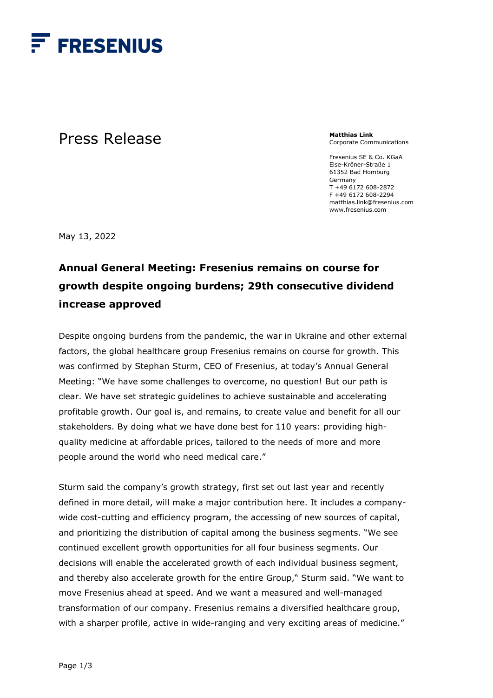

## Press Release

**Matthias Link**  Corporate Communications

Fresenius SE & Co. KGaA Else-Kröner-Straße 1 61352 Bad Homburg Germany T +49 6172 608-2872 F +49 6172 608-2294 matthias.link@fresenius.com www.fresenius.com

May 13, 2022

## **Annual General Meeting: Fresenius remains on course for growth despite ongoing burdens; 29th consecutive dividend increase approved**

Despite ongoing burdens from the pandemic, the war in Ukraine and other external factors, the global healthcare group Fresenius remains on course for growth. This was confirmed by Stephan Sturm, CEO of Fresenius, at today's Annual General Meeting: "We have some challenges to overcome, no question! But our path is clear. We have set strategic guidelines to achieve sustainable and accelerating profitable growth. Our goal is, and remains, to create value and benefit for all our stakeholders. By doing what we have done best for 110 years: providing highquality medicine at affordable prices, tailored to the needs of more and more people around the world who need medical care."

Sturm said the company's growth strategy, first set out last year and recently defined in more detail, will make a major contribution here. It includes a companywide cost-cutting and efficiency program, the accessing of new sources of capital, and prioritizing the distribution of capital among the business segments. "We see continued excellent growth opportunities for all four business segments. Our decisions will enable the accelerated growth of each individual business segment, and thereby also accelerate growth for the entire Group," Sturm said. "We want to move Fresenius ahead at speed. And we want a measured and well-managed transformation of our company. Fresenius remains a diversified healthcare group, with a sharper profile, active in wide-ranging and very exciting areas of medicine."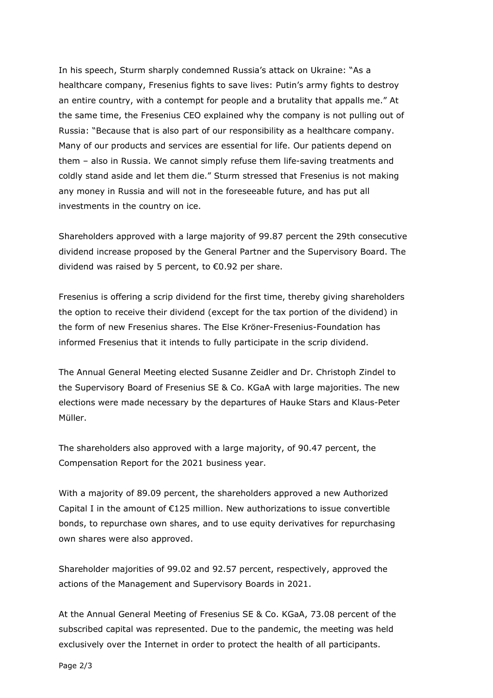In his speech, Sturm sharply condemned Russia's attack on Ukraine: "As a healthcare company, Fresenius fights to save lives: Putin's army fights to destroy an entire country, with a contempt for people and a brutality that appalls me." At the same time, the Fresenius CEO explained why the company is not pulling out of Russia: "Because that is also part of our responsibility as a healthcare company. Many of our products and services are essential for life. Our patients depend on them – also in Russia. We cannot simply refuse them life-saving treatments and coldly stand aside and let them die." Sturm stressed that Fresenius is not making any money in Russia and will not in the foreseeable future, and has put all investments in the country on ice.

Shareholders approved with a large majority of 99.87 percent the 29th consecutive dividend increase proposed by the General Partner and the Supervisory Board. The dividend was raised by 5 percent, to €0.92 per share.

Fresenius is offering a scrip dividend for the first time, thereby giving shareholders the option to receive their dividend (except for the tax portion of the dividend) in the form of new Fresenius shares. The Else Kröner-Fresenius-Foundation has informed Fresenius that it intends to fully participate in the scrip dividend.

The Annual General Meeting elected Susanne Zeidler and Dr. Christoph Zindel to the Supervisory Board of Fresenius SE & Co. KGaA with large majorities. The new elections were made necessary by the departures of Hauke Stars and Klaus-Peter Müller.

The shareholders also approved with a large majority, of 90.47 percent, the Compensation Report for the 2021 business year.

With a majority of 89.09 percent, the shareholders approved a new Authorized Capital I in the amount of €125 million. New authorizations to issue convertible bonds, to repurchase own shares, and to use equity derivatives for repurchasing own shares were also approved.

Shareholder majorities of 99.02 and 92.57 percent, respectively, approved the actions of the Management and Supervisory Boards in 2021.

At the Annual General Meeting of Fresenius SE & Co. KGaA, 73.08 percent of the subscribed capital was represented. Due to the pandemic, the meeting was held exclusively over the Internet in order to protect the health of all participants.